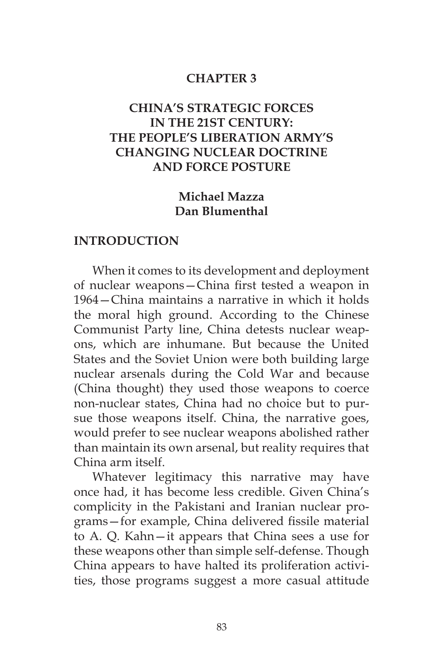## **CHAPTER 3**

# **CHINA'S STRATEGIC FORCES IN THE 21ST CENTURY: THE PEOPLE'S LIBERATION ARMY'S CHANGING NUCLEAR DOCTRINE AND FORCE POSTURE**

## **Michael Mazza Dan Blumenthal**

#### **INTRODUCTION**

When it comes to its development and deployment of nuclear weapons—China first tested a weapon in 1964—China maintains a narrative in which it holds the moral high ground. According to the Chinese Communist Party line, China detests nuclear weapons, which are inhumane. But because the United States and the Soviet Union were both building large nuclear arsenals during the Cold War and because (China thought) they used those weapons to coerce non-nuclear states, China had no choice but to pursue those weapons itself. China, the narrative goes, would prefer to see nuclear weapons abolished rather than maintain its own arsenal, but reality requires that China arm itself.

Whatever legitimacy this narrative may have once had, it has become less credible. Given China's complicity in the Pakistani and Iranian nuclear programs—for example, China delivered fissile material to A. Q. Kahn—it appears that China sees a use for these weapons other than simple self-defense. Though China appears to have halted its proliferation activities, those programs suggest a more casual attitude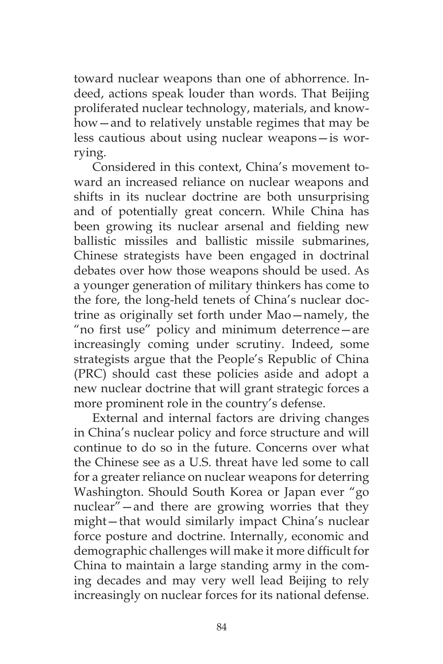toward nuclear weapons than one of abhorrence. Indeed, actions speak louder than words. That Beijing proliferated nuclear technology, materials, and knowhow—and to relatively unstable regimes that may be less cautious about using nuclear weapons—is worrying.

Considered in this context, China's movement toward an increased reliance on nuclear weapons and shifts in its nuclear doctrine are both unsurprising and of potentially great concern. While China has been growing its nuclear arsenal and fielding new ballistic missiles and ballistic missile submarines, Chinese strategists have been engaged in doctrinal debates over how those weapons should be used. As a younger generation of military thinkers has come to the fore, the long-held tenets of China's nuclear doctrine as originally set forth under Mao—namely, the "no first use" policy and minimum deterrence—are increasingly coming under scrutiny. Indeed, some strategists argue that the People's Republic of China (PRC) should cast these policies aside and adopt a new nuclear doctrine that will grant strategic forces a more prominent role in the country's defense.

External and internal factors are driving changes in China's nuclear policy and force structure and will continue to do so in the future. Concerns over what the Chinese see as a U.S. threat have led some to call for a greater reliance on nuclear weapons for deterring Washington. Should South Korea or Japan ever "go nuclear"—and there are growing worries that they might—that would similarly impact China's nuclear force posture and doctrine. Internally, economic and demographic challenges will make it more difficult for China to maintain a large standing army in the coming decades and may very well lead Beijing to rely increasingly on nuclear forces for its national defense.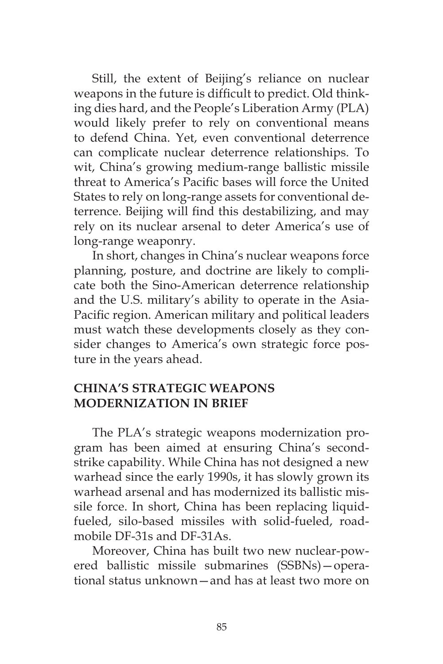Still, the extent of Beijing's reliance on nuclear weapons in the future is difficult to predict. Old thinking dies hard, and the People's Liberation Army (PLA) would likely prefer to rely on conventional means to defend China. Yet, even conventional deterrence can complicate nuclear deterrence relationships. To wit, China's growing medium-range ballistic missile threat to America's Pacific bases will force the United States to rely on long-range assets for conventional deterrence. Beijing will find this destabilizing, and may rely on its nuclear arsenal to deter America's use of long-range weaponry.

In short, changes in China's nuclear weapons force planning, posture, and doctrine are likely to complicate both the Sino-American deterrence relationship and the U.S. military's ability to operate in the Asia-Pacific region. American military and political leaders must watch these developments closely as they consider changes to America's own strategic force posture in the years ahead.

## **CHINA'S STRATEGIC WEAPONS MODERNIZATION IN BRIEF**

The PLA's strategic weapons modernization program has been aimed at ensuring China's secondstrike capability. While China has not designed a new warhead since the early 1990s, it has slowly grown its warhead arsenal and has modernized its ballistic missile force. In short, China has been replacing liquidfueled, silo-based missiles with solid-fueled, roadmobile DF-31s and DF-31As.

Moreover, China has built two new nuclear-powered ballistic missile submarines (SSBNs)—operational status unknown—and has at least two more on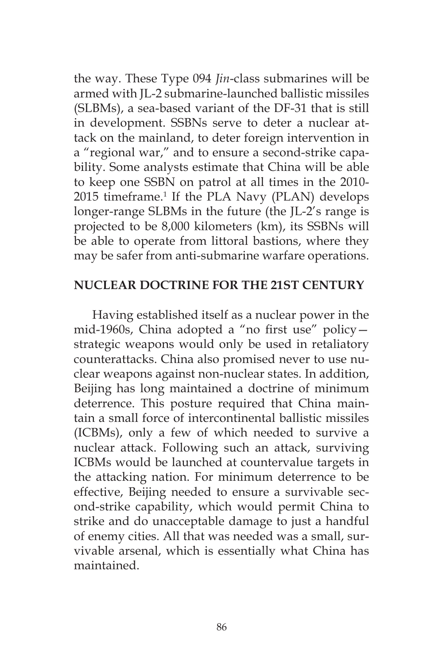the way. These Type 094 *Jin*-class submarines will be armed with JL-2 submarine-launched ballistic missiles (SLBMs), a sea-based variant of the DF-31 that is still in development. SSBNs serve to deter a nuclear attack on the mainland, to deter foreign intervention in a "regional war," and to ensure a second-strike capability. Some analysts estimate that China will be able to keep one SSBN on patrol at all times in the 2010- 2015 timeframe.<sup>1</sup> If the PLA Navy (PLAN) develops longer-range SLBMs in the future (the JL-2's range is projected to be 8,000 kilometers (km), its SSBNs will be able to operate from littoral bastions, where they may be safer from anti-submarine warfare operations.

#### **NUCLEAR DOCTRINE FOR THE 21ST CENTURY**

Having established itself as a nuclear power in the mid-1960s, China adopted a "no first use" policy strategic weapons would only be used in retaliatory counterattacks. China also promised never to use nuclear weapons against non-nuclear states. In addition, Beijing has long maintained a doctrine of minimum deterrence. This posture required that China maintain a small force of intercontinental ballistic missiles (ICBMs), only a few of which needed to survive a nuclear attack. Following such an attack, surviving ICBMs would be launched at countervalue targets in the attacking nation. For minimum deterrence to be effective, Beijing needed to ensure a survivable second-strike capability, which would permit China to strike and do unacceptable damage to just a handful of enemy cities. All that was needed was a small, survivable arsenal, which is essentially what China has maintained.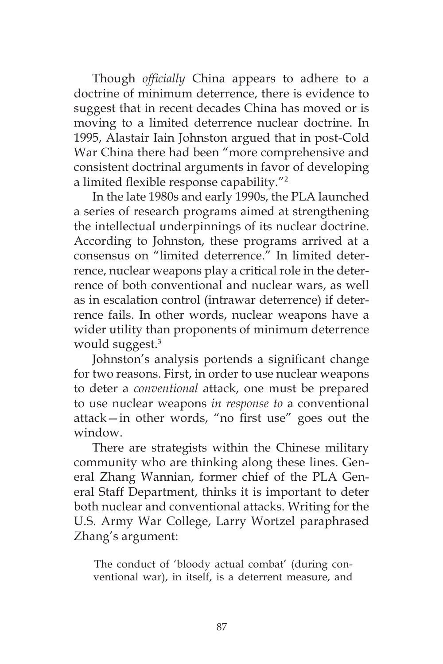Though *officially* China appears to adhere to a doctrine of minimum deterrence, there is evidence to suggest that in recent decades China has moved or is moving to a limited deterrence nuclear doctrine. In 1995, Alastair Iain Johnston argued that in post-Cold War China there had been "more comprehensive and consistent doctrinal arguments in favor of developing a limited flexible response capability."<sup>2</sup>

In the late 1980s and early 1990s, the PLA launched a series of research programs aimed at strengthening the intellectual underpinnings of its nuclear doctrine. According to Johnston, these programs arrived at a consensus on "limited deterrence." In limited deterrence, nuclear weapons play a critical role in the deterrence of both conventional and nuclear wars, as well as in escalation control (intrawar deterrence) if deterrence fails. In other words, nuclear weapons have a wider utility than proponents of minimum deterrence would suggest.3

Johnston's analysis portends a significant change for two reasons. First, in order to use nuclear weapons to deter a *conventional* attack, one must be prepared to use nuclear weapons *in response to* a conventional attack—in other words, "no first use" goes out the window.

There are strategists within the Chinese military community who are thinking along these lines. General Zhang Wannian, former chief of the PLA General Staff Department, thinks it is important to deter both nuclear and conventional attacks. Writing for the U.S. Army War College, Larry Wortzel paraphrased Zhang's argument:

The conduct of 'bloody actual combat' (during conventional war), in itself, is a deterrent measure, and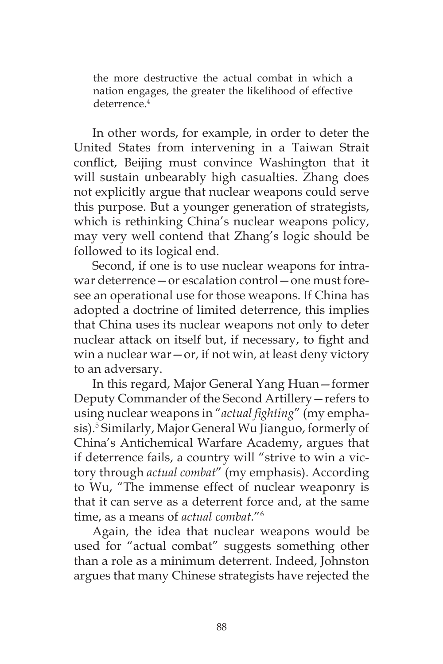the more destructive the actual combat in which a nation engages, the greater the likelihood of effective deterrence.<sup>4</sup>

In other words, for example, in order to deter the United States from intervening in a Taiwan Strait conflict, Beijing must convince Washington that it will sustain unbearably high casualties. Zhang does not explicitly argue that nuclear weapons could serve this purpose. But a younger generation of strategists, which is rethinking China's nuclear weapons policy, may very well contend that Zhang's logic should be followed to its logical end.

Second, if one is to use nuclear weapons for intrawar deterrence—or escalation control—one must foresee an operational use for those weapons. If China has adopted a doctrine of limited deterrence, this implies that China uses its nuclear weapons not only to deter nuclear attack on itself but, if necessary, to fight and win a nuclear war—or, if not win, at least deny victory to an adversary.

In this regard, Major General Yang Huan—former Deputy Commander of the Second Artillery—refers to using nuclear weapons in "*actual fighting*" (my emphasis).<sup>5</sup> Similarly, Major General Wu Jianguo, formerly of China's Antichemical Warfare Academy, argues that if deterrence fails, a country will "strive to win a victory through *actual combat*" (my emphasis). According to Wu, "The immense effect of nuclear weaponry is that it can serve as a deterrent force and, at the same time, as a means of *actual combat.*"<sup>6</sup>

Again, the idea that nuclear weapons would be used for "actual combat" suggests something other than a role as a minimum deterrent. Indeed, Johnston argues that many Chinese strategists have rejected the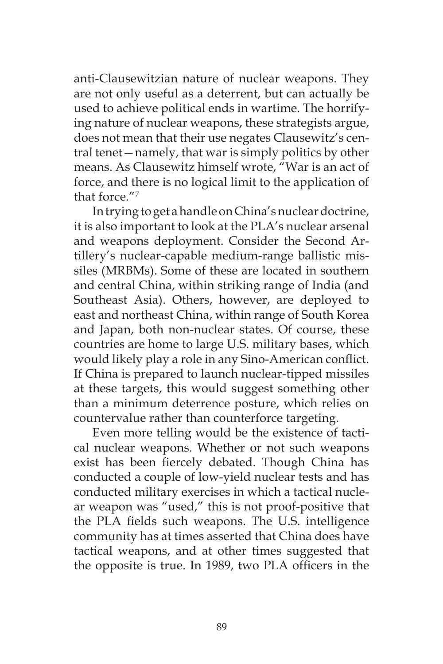anti-Clausewitzian nature of nuclear weapons. They are not only useful as a deterrent, but can actually be used to achieve political ends in wartime. The horrifying nature of nuclear weapons, these strategists argue, does not mean that their use negates Clausewitz's central tenet—namely, that war is simply politics by other means. As Clausewitz himself wrote, "War is an act of force, and there is no logical limit to the application of that force  $''<sup>7</sup>$ 

In trying to get a handle on China's nuclear doctrine, it is also important to look at the PLA's nuclear arsenal and weapons deployment. Consider the Second Artillery's nuclear-capable medium-range ballistic missiles (MRBMs). Some of these are located in southern and central China, within striking range of India (and Southeast Asia). Others, however, are deployed to east and northeast China, within range of South Korea and Japan, both non-nuclear states. Of course, these countries are home to large U.S. military bases, which would likely play a role in any Sino-American conflict. If China is prepared to launch nuclear-tipped missiles at these targets, this would suggest something other than a minimum deterrence posture, which relies on countervalue rather than counterforce targeting.

Even more telling would be the existence of tactical nuclear weapons. Whether or not such weapons exist has been fiercely debated. Though China has conducted a couple of low-yield nuclear tests and has conducted military exercises in which a tactical nuclear weapon was "used," this is not proof-positive that the PLA fields such weapons. The U.S. intelligence community has at times asserted that China does have tactical weapons, and at other times suggested that the opposite is true. In 1989, two PLA officers in the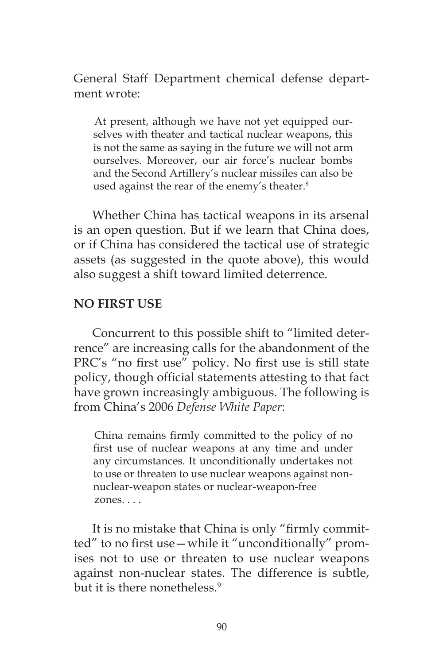General Staff Department chemical defense department wrote:

At present, although we have not yet equipped ourselves with theater and tactical nuclear weapons, this is not the same as saying in the future we will not arm ourselves. Moreover, our air force's nuclear bombs and the Second Artillery's nuclear missiles can also be used against the rear of the enemy's theater.<sup>8</sup>

Whether China has tactical weapons in its arsenal is an open question. But if we learn that China does, or if China has considered the tactical use of strategic assets (as suggested in the quote above), this would also suggest a shift toward limited deterrence.

#### **NO FIRST USE**

Concurrent to this possible shift to "limited deterrence" are increasing calls for the abandonment of the PRC's "no first use" policy. No first use is still state policy, though official statements attesting to that fact have grown increasingly ambiguous. The following is from China's 2006 *Defense White Paper*:

China remains firmly committed to the policy of no first use of nuclear weapons at any time and under any circumstances. It unconditionally undertakes not to use or threaten to use nuclear weapons against nonnuclear-weapon states or nuclear-weapon-free zones. . . .

It is no mistake that China is only "firmly committed" to no first use—while it "unconditionally" promises not to use or threaten to use nuclear weapons against non-nuclear states. The difference is subtle, but it is there nonetheless.<sup>9</sup>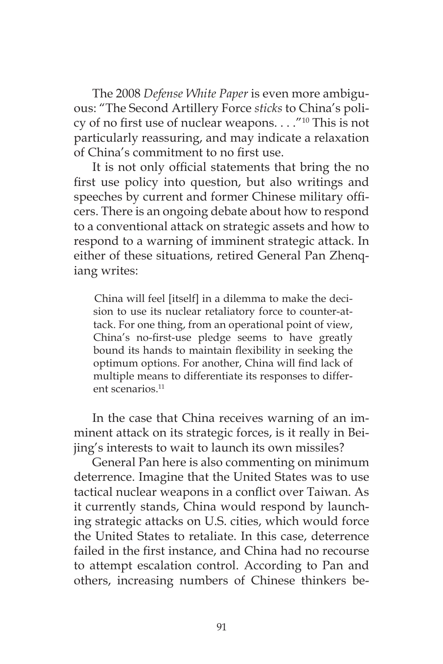The 2008 *Defense White Paper* is even more ambiguous: "The Second Artillery Force *sticks* to China's policy of no first use of nuclear weapons. . . ."10 This is not particularly reassuring, and may indicate a relaxation of China's commitment to no first use.

It is not only official statements that bring the no first use policy into question, but also writings and speeches by current and former Chinese military officers. There is an ongoing debate about how to respond to a conventional attack on strategic assets and how to respond to a warning of imminent strategic attack. In either of these situations, retired General Pan Zhenqiang writes:

China will feel [itself] in a dilemma to make the decision to use its nuclear retaliatory force to counter-attack. For one thing, from an operational point of view, China's no-first-use pledge seems to have greatly bound its hands to maintain flexibility in seeking the optimum options. For another, China will find lack of multiple means to differentiate its responses to different scenarios.<sup>11</sup>

In the case that China receives warning of an imminent attack on its strategic forces, is it really in Beijing's interests to wait to launch its own missiles?

General Pan here is also commenting on minimum deterrence. Imagine that the United States was to use tactical nuclear weapons in a conflict over Taiwan. As it currently stands, China would respond by launching strategic attacks on U.S. cities, which would force the United States to retaliate. In this case, deterrence failed in the first instance, and China had no recourse to attempt escalation control. According to Pan and others, increasing numbers of Chinese thinkers be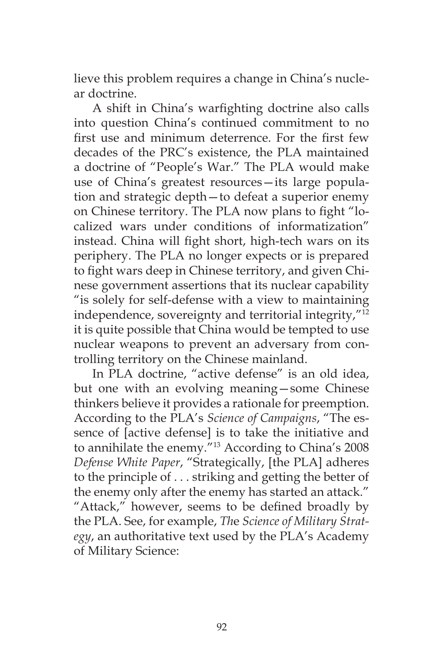lieve this problem requires a change in China's nuclear doctrine.

A shift in China's warfighting doctrine also calls into question China's continued commitment to no first use and minimum deterrence. For the first few decades of the PRC's existence, the PLA maintained a doctrine of "People's War." The PLA would make use of China's greatest resources—its large population and strategic depth—to defeat a superior enemy on Chinese territory. The PLA now plans to fight "localized wars under conditions of informatization" instead. China will fight short, high-tech wars on its periphery. The PLA no longer expects or is prepared to fight wars deep in Chinese territory, and given Chinese government assertions that its nuclear capability "is solely for self-defense with a view to maintaining independence, sovereignty and territorial integrity,"12 it is quite possible that China would be tempted to use nuclear weapons to prevent an adversary from controlling territory on the Chinese mainland.

In PLA doctrine, "active defense" is an old idea, but one with an evolving meaning—some Chinese thinkers believe it provides a rationale for preemption. According to the PLA's *Science of Campaigns*, "The essence of [active defense] is to take the initiative and to annihilate the enemy."13 According to China's 2008 *Defense White Paper*, "Strategically, [the PLA] adheres to the principle of . . . striking and getting the better of the enemy only after the enemy has started an attack." "Attack," however, seems to be defined broadly by the PLA. See, for example, *Th*e *Science of Military Strategy*, an authoritative text used by the PLA's Academy of Military Science: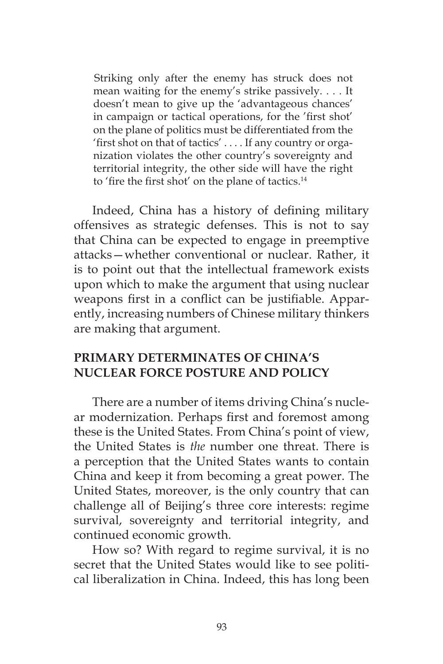Striking only after the enemy has struck does not mean waiting for the enemy's strike passively. . . . It doesn't mean to give up the 'advantageous chances' in campaign or tactical operations, for the 'first shot' on the plane of politics must be differentiated from the 'first shot on that of tactics' . . . . If any country or organization violates the other country's sovereignty and territorial integrity, the other side will have the right to 'fire the first shot' on the plane of tactics.<sup>14</sup>

Indeed, China has a history of defining military offensives as strategic defenses. This is not to say that China can be expected to engage in preemptive attacks—whether conventional or nuclear. Rather, it is to point out that the intellectual framework exists upon which to make the argument that using nuclear weapons first in a conflict can be justifiable. Apparently, increasing numbers of Chinese military thinkers are making that argument.

## **PRIMARY DETERMINATES OF CHINA'S NUCLEAR FORCE POSTURE AND POLICY**

There are a number of items driving China's nuclear modernization. Perhaps first and foremost among these is the United States. From China's point of view, the United States is *the* number one threat. There is a perception that the United States wants to contain China and keep it from becoming a great power. The United States, moreover, is the only country that can challenge all of Beijing's three core interests: regime survival, sovereignty and territorial integrity, and continued economic growth.

How so? With regard to regime survival, it is no secret that the United States would like to see political liberalization in China. Indeed, this has long been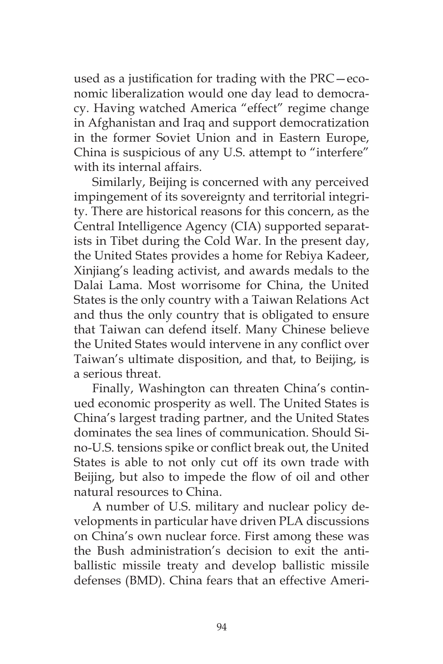used as a justification for trading with the PRC—economic liberalization would one day lead to democracy. Having watched America "effect" regime change in Afghanistan and Iraq and support democratization in the former Soviet Union and in Eastern Europe, China is suspicious of any U.S. attempt to "interfere" with its internal affairs.

Similarly, Beijing is concerned with any perceived impingement of its sovereignty and territorial integrity. There are historical reasons for this concern, as the Central Intelligence Agency (CIA) supported separatists in Tibet during the Cold War. In the present day, the United States provides a home for Rebiya Kadeer, Xinjiang's leading activist, and awards medals to the Dalai Lama. Most worrisome for China, the United States is the only country with a Taiwan Relations Act and thus the only country that is obligated to ensure that Taiwan can defend itself. Many Chinese believe the United States would intervene in any conflict over Taiwan's ultimate disposition, and that, to Beijing, is a serious threat.

Finally, Washington can threaten China's continued economic prosperity as well. The United States is China's largest trading partner, and the United States dominates the sea lines of communication. Should Sino-U.S. tensions spike or conflict break out, the United States is able to not only cut off its own trade with Beijing, but also to impede the flow of oil and other natural resources to China.

A number of U.S. military and nuclear policy developments in particular have driven PLA discussions on China's own nuclear force. First among these was the Bush administration's decision to exit the antiballistic missile treaty and develop ballistic missile defenses (BMD). China fears that an effective Ameri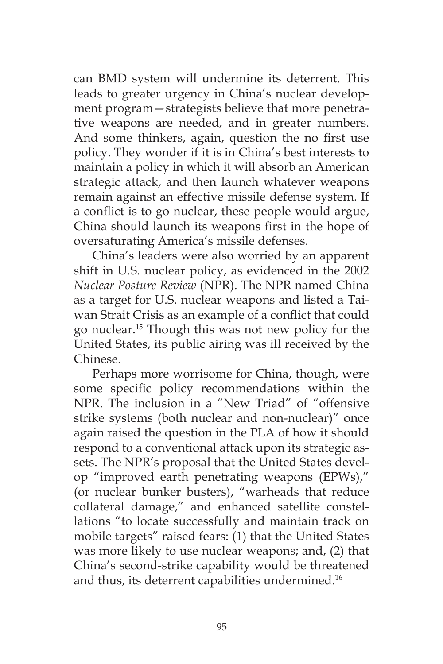can BMD system will undermine its deterrent. This leads to greater urgency in China's nuclear development program—strategists believe that more penetrative weapons are needed, and in greater numbers. And some thinkers, again, question the no first use policy. They wonder if it is in China's best interests to maintain a policy in which it will absorb an American strategic attack, and then launch whatever weapons remain against an effective missile defense system. If a conflict is to go nuclear, these people would argue, China should launch its weapons first in the hope of oversaturating America's missile defenses.

China's leaders were also worried by an apparent shift in U.S. nuclear policy, as evidenced in the 2002 *Nuclear Posture Review* (NPR). The NPR named China as a target for U.S. nuclear weapons and listed a Taiwan Strait Crisis as an example of a conflict that could go nuclear.15 Though this was not new policy for the United States, its public airing was ill received by the Chinese.

Perhaps more worrisome for China, though, were some specific policy recommendations within the NPR. The inclusion in a "New Triad" of "offensive strike systems (both nuclear and non-nuclear)" once again raised the question in the PLA of how it should respond to a conventional attack upon its strategic assets. The NPR's proposal that the United States develop "improved earth penetrating weapons (EPWs)," (or nuclear bunker busters), "warheads that reduce collateral damage," and enhanced satellite constellations "to locate successfully and maintain track on mobile targets" raised fears: (1) that the United States was more likely to use nuclear weapons; and, (2) that China's second-strike capability would be threatened and thus, its deterrent capabilities undermined.16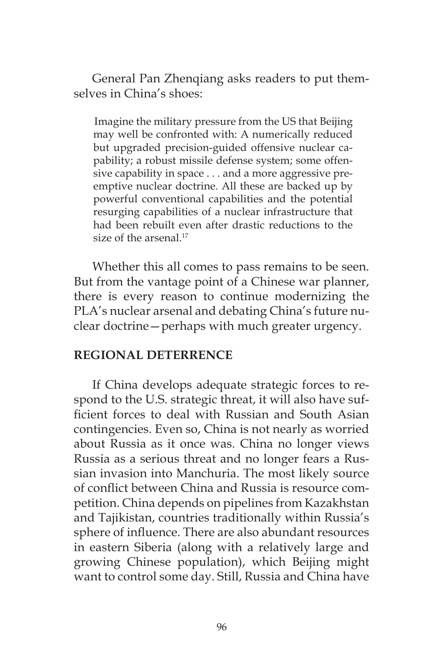General Pan Zhenqiang asks readers to put themselves in China's shoes:

Imagine the military pressure from the US that Beijing may well be confronted with: A numerically reduced but upgraded precision-guided offensive nuclear capability; a robust missile defense system; some offensive capability in space . . . and a more aggressive preemptive nuclear doctrine. All these are backed up by powerful conventional capabilities and the potential resurging capabilities of a nuclear infrastructure that had been rebuilt even after drastic reductions to the size of the arsenal.<sup>17</sup>

Whether this all comes to pass remains to be seen. But from the vantage point of a Chinese war planner, there is every reason to continue modernizing the PLA's nuclear arsenal and debating China's future nuclear doctrine—perhaps with much greater urgency.

#### **REGIONAL DETERRENCE**

If China develops adequate strategic forces to respond to the U.S. strategic threat, it will also have sufficient forces to deal with Russian and South Asian contingencies. Even so, China is not nearly as worried about Russia as it once was. China no longer views Russia as a serious threat and no longer fears a Russian invasion into Manchuria. The most likely source of conflict between China and Russia is resource competition. China depends on pipelines from Kazakhstan and Tajikistan, countries traditionally within Russia's sphere of influence. There are also abundant resources in eastern Siberia (along with a relatively large and growing Chinese population), which Beijing might want to control some day. Still, Russia and China have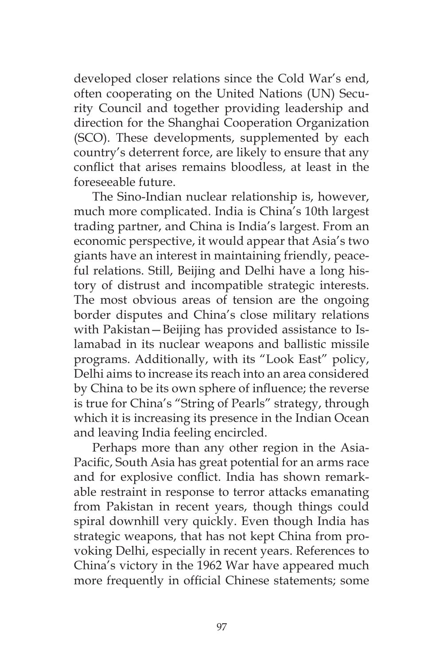developed closer relations since the Cold War's end, often cooperating on the United Nations (UN) Security Council and together providing leadership and direction for the Shanghai Cooperation Organization (SCO). These developments, supplemented by each country's deterrent force, are likely to ensure that any conflict that arises remains bloodless, at least in the foreseeable future.

The Sino-Indian nuclear relationship is, however, much more complicated. India is China's 10th largest trading partner, and China is India's largest. From an economic perspective, it would appear that Asia's two giants have an interest in maintaining friendly, peaceful relations. Still, Beijing and Delhi have a long history of distrust and incompatible strategic interests. The most obvious areas of tension are the ongoing border disputes and China's close military relations with Pakistan—Beijing has provided assistance to Islamabad in its nuclear weapons and ballistic missile programs. Additionally, with its "Look East" policy, Delhi aims to increase its reach into an area considered by China to be its own sphere of influence; the reverse is true for China's "String of Pearls" strategy, through which it is increasing its presence in the Indian Ocean and leaving India feeling encircled.

Perhaps more than any other region in the Asia-Pacific, South Asia has great potential for an arms race and for explosive conflict. India has shown remarkable restraint in response to terror attacks emanating from Pakistan in recent years, though things could spiral downhill very quickly. Even though India has strategic weapons, that has not kept China from provoking Delhi, especially in recent years. References to China's victory in the 1962 War have appeared much more frequently in official Chinese statements; some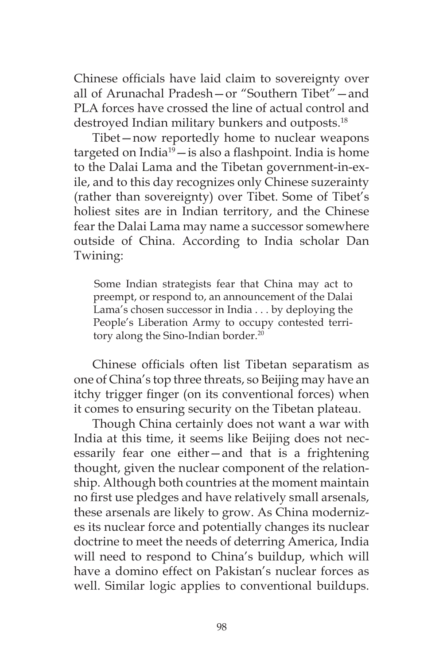Chinese officials have laid claim to sovereignty over all of Arunachal Pradesh—or "Southern Tibet"—and PLA forces have crossed the line of actual control and destroyed Indian military bunkers and outposts.<sup>18</sup>

Tibet—now reportedly home to nuclear weapons targeted on India19—is also a flashpoint. India is home to the Dalai Lama and the Tibetan government-in-exile, and to this day recognizes only Chinese suzerainty (rather than sovereignty) over Tibet. Some of Tibet's holiest sites are in Indian territory, and the Chinese fear the Dalai Lama may name a successor somewhere outside of China. According to India scholar Dan Twining:

Some Indian strategists fear that China may act to preempt, or respond to, an announcement of the Dalai Lama's chosen successor in India . . . by deploying the People's Liberation Army to occupy contested territory along the Sino-Indian border.<sup>20</sup>

Chinese officials often list Tibetan separatism as one of China's top three threats, so Beijing may have an itchy trigger finger (on its conventional forces) when it comes to ensuring security on the Tibetan plateau.

Though China certainly does not want a war with India at this time, it seems like Beijing does not necessarily fear one either—and that is a frightening thought, given the nuclear component of the relationship. Although both countries at the moment maintain no first use pledges and have relatively small arsenals, these arsenals are likely to grow. As China modernizes its nuclear force and potentially changes its nuclear doctrine to meet the needs of deterring America, India will need to respond to China's buildup, which will have a domino effect on Pakistan's nuclear forces as well. Similar logic applies to conventional buildups.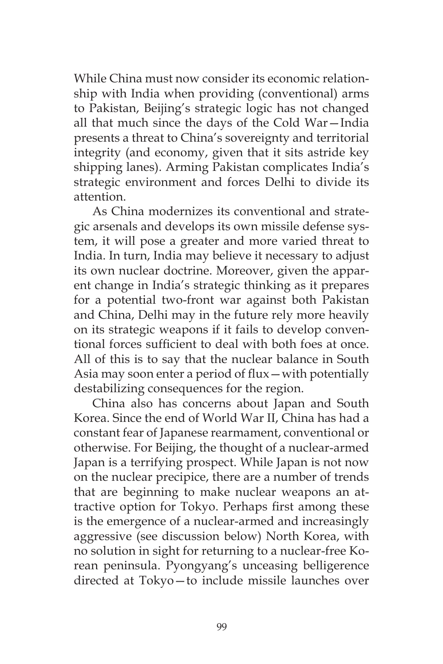While China must now consider its economic relationship with India when providing (conventional) arms to Pakistan, Beijing's strategic logic has not changed all that much since the days of the Cold War—India presents a threat to China's sovereignty and territorial integrity (and economy, given that it sits astride key shipping lanes). Arming Pakistan complicates India's strategic environment and forces Delhi to divide its attention.

As China modernizes its conventional and strategic arsenals and develops its own missile defense system, it will pose a greater and more varied threat to India. In turn, India may believe it necessary to adjust its own nuclear doctrine. Moreover, given the apparent change in India's strategic thinking as it prepares for a potential two-front war against both Pakistan and China, Delhi may in the future rely more heavily on its strategic weapons if it fails to develop conventional forces sufficient to deal with both foes at once. All of this is to say that the nuclear balance in South Asia may soon enter a period of flux—with potentially destabilizing consequences for the region.

China also has concerns about Japan and South Korea. Since the end of World War II, China has had a constant fear of Japanese rearmament, conventional or otherwise. For Beijing, the thought of a nuclear-armed Japan is a terrifying prospect. While Japan is not now on the nuclear precipice, there are a number of trends that are beginning to make nuclear weapons an attractive option for Tokyo. Perhaps first among these is the emergence of a nuclear-armed and increasingly aggressive (see discussion below) North Korea, with no solution in sight for returning to a nuclear-free Korean peninsula. Pyongyang's unceasing belligerence directed at Tokyo—to include missile launches over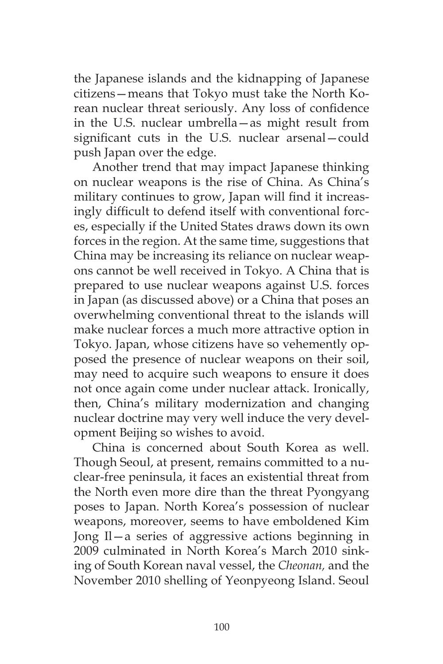the Japanese islands and the kidnapping of Japanese citizens—means that Tokyo must take the North Korean nuclear threat seriously. Any loss of confidence in the U.S. nuclear umbrella—as might result from significant cuts in the U.S. nuclear arsenal—could push Japan over the edge.

Another trend that may impact Japanese thinking on nuclear weapons is the rise of China. As China's military continues to grow, Japan will find it increasingly difficult to defend itself with conventional forces, especially if the United States draws down its own forces in the region. At the same time, suggestions that China may be increasing its reliance on nuclear weapons cannot be well received in Tokyo. A China that is prepared to use nuclear weapons against U.S. forces in Japan (as discussed above) or a China that poses an overwhelming conventional threat to the islands will make nuclear forces a much more attractive option in Tokyo. Japan, whose citizens have so vehemently opposed the presence of nuclear weapons on their soil, may need to acquire such weapons to ensure it does not once again come under nuclear attack. Ironically, then, China's military modernization and changing nuclear doctrine may very well induce the very development Beijing so wishes to avoid.

China is concerned about South Korea as well. Though Seoul, at present, remains committed to a nuclear-free peninsula, it faces an existential threat from the North even more dire than the threat Pyongyang poses to Japan. North Korea's possession of nuclear weapons, moreover, seems to have emboldened Kim Jong Il—a series of aggressive actions beginning in 2009 culminated in North Korea's March 2010 sinking of South Korean naval vessel, the *Cheonan,* and the November 2010 shelling of Yeonpyeong Island. Seoul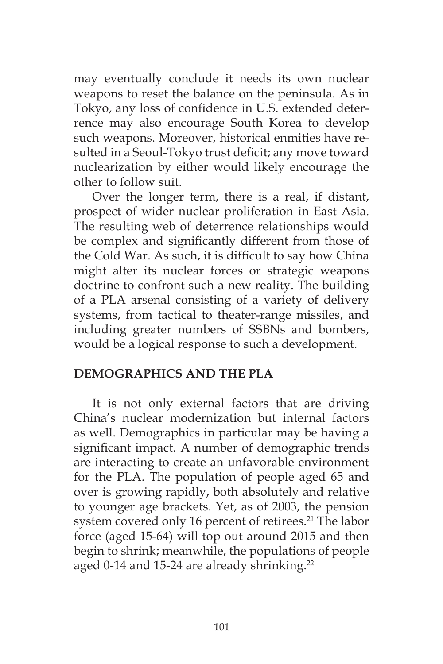may eventually conclude it needs its own nuclear weapons to reset the balance on the peninsula. As in Tokyo, any loss of confidence in U.S. extended deterrence may also encourage South Korea to develop such weapons. Moreover, historical enmities have resulted in a Seoul-Tokyo trust deficit; any move toward nuclearization by either would likely encourage the other to follow suit.

Over the longer term, there is a real, if distant, prospect of wider nuclear proliferation in East Asia. The resulting web of deterrence relationships would be complex and significantly different from those of the Cold War. As such, it is difficult to say how China might alter its nuclear forces or strategic weapons doctrine to confront such a new reality. The building of a PLA arsenal consisting of a variety of delivery systems, from tactical to theater-range missiles, and including greater numbers of SSBNs and bombers, would be a logical response to such a development.

## **DEMOGRAPHICS AND THE PLA**

It is not only external factors that are driving China's nuclear modernization but internal factors as well. Demographics in particular may be having a significant impact. A number of demographic trends are interacting to create an unfavorable environment for the PLA. The population of people aged 65 and over is growing rapidly, both absolutely and relative to younger age brackets. Yet, as of 2003, the pension system covered only 16 percent of retirees.<sup>21</sup> The labor force (aged 15-64) will top out around 2015 and then begin to shrink; meanwhile, the populations of people aged 0-14 and 15-24 are already shrinking.<sup>22</sup>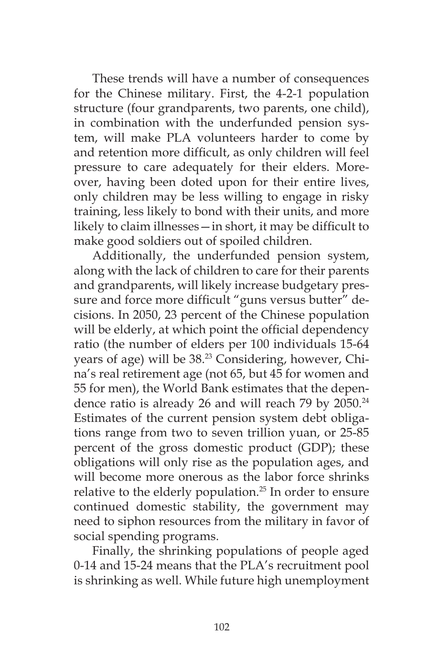These trends will have a number of consequences for the Chinese military. First, the 4-2-1 population structure (four grandparents, two parents, one child), in combination with the underfunded pension system, will make PLA volunteers harder to come by and retention more difficult, as only children will feel pressure to care adequately for their elders. Moreover, having been doted upon for their entire lives, only children may be less willing to engage in risky training, less likely to bond with their units, and more likely to claim illnesses—in short, it may be difficult to make good soldiers out of spoiled children.

Additionally, the underfunded pension system, along with the lack of children to care for their parents and grandparents, will likely increase budgetary pressure and force more difficult "guns versus butter" decisions. In 2050, 23 percent of the Chinese population will be elderly, at which point the official dependency ratio (the number of elders per 100 individuals 15-64 years of age) will be 38.<sup>23</sup> Considering, however, China's real retirement age (not 65, but 45 for women and 55 for men), the World Bank estimates that the dependence ratio is already 26 and will reach 79 by 2050.<sup>24</sup> Estimates of the current pension system debt obligations range from two to seven trillion yuan, or 25-85 percent of the gross domestic product (GDP); these obligations will only rise as the population ages, and will become more onerous as the labor force shrinks relative to the elderly population.<sup>25</sup> In order to ensure continued domestic stability, the government may need to siphon resources from the military in favor of social spending programs.

Finally, the shrinking populations of people aged 0-14 and 15-24 means that the PLA's recruitment pool is shrinking as well. While future high unemployment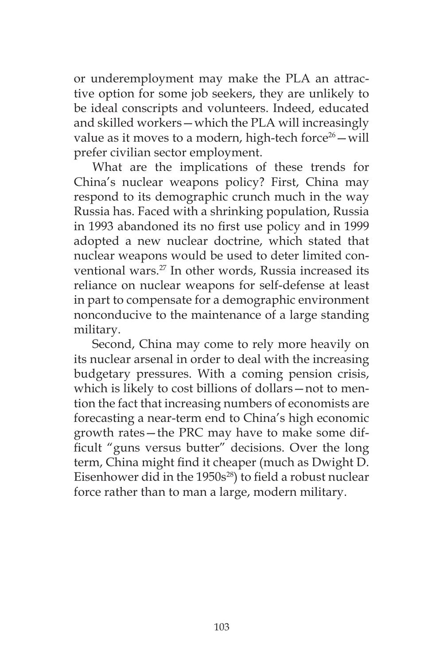or underemployment may make the PLA an attractive option for some job seekers, they are unlikely to be ideal conscripts and volunteers. Indeed, educated and skilled workers—which the PLA will increasingly value as it moves to a modern, high-tech force<sup>26</sup> — will prefer civilian sector employment.

What are the implications of these trends for China's nuclear weapons policy? First, China may respond to its demographic crunch much in the way Russia has. Faced with a shrinking population, Russia in 1993 abandoned its no first use policy and in 1999 adopted a new nuclear doctrine, which stated that nuclear weapons would be used to deter limited conventional wars.27 In other words, Russia increased its reliance on nuclear weapons for self-defense at least in part to compensate for a demographic environment nonconducive to the maintenance of a large standing military.

Second, China may come to rely more heavily on its nuclear arsenal in order to deal with the increasing budgetary pressures. With a coming pension crisis, which is likely to cost billions of dollars—not to mention the fact that increasing numbers of economists are forecasting a near-term end to China's high economic growth rates—the PRC may have to make some difficult "guns versus butter" decisions. Over the long term, China might find it cheaper (much as Dwight D. Eisenhower did in the  $1950s^{28}$ ) to field a robust nuclear force rather than to man a large, modern military.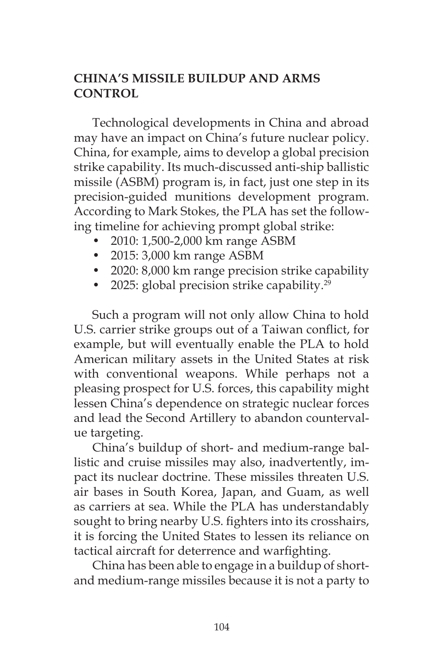# **CHINA'S MISSILE BUILDUP AND ARMS CONTROL**

Technological developments in China and abroad may have an impact on China's future nuclear policy. China, for example, aims to develop a global precision strike capability. Its much-discussed anti-ship ballistic missile (ASBM) program is, in fact, just one step in its precision-guided munitions development program. According to Mark Stokes, the PLA has set the following timeline for achieving prompt global strike:

- 2010: 1,500-2,000 km range ASBM
- 2015: 3,000 km range ASBM
- 2020: 8,000 km range precision strike capability
- 2025: global precision strike capability.<sup>29</sup>

Such a program will not only allow China to hold U.S. carrier strike groups out of a Taiwan conflict, for example, but will eventually enable the PLA to hold American military assets in the United States at risk with conventional weapons. While perhaps not a pleasing prospect for U.S. forces, this capability might lessen China's dependence on strategic nuclear forces and lead the Second Artillery to abandon countervalue targeting.

China's buildup of short- and medium-range ballistic and cruise missiles may also, inadvertently, impact its nuclear doctrine. These missiles threaten U.S. air bases in South Korea, Japan, and Guam, as well as carriers at sea. While the PLA has understandably sought to bring nearby U.S. fighters into its crosshairs, it is forcing the United States to lessen its reliance on tactical aircraft for deterrence and warfighting.

China has been able to engage in a buildup of shortand medium-range missiles because it is not a party to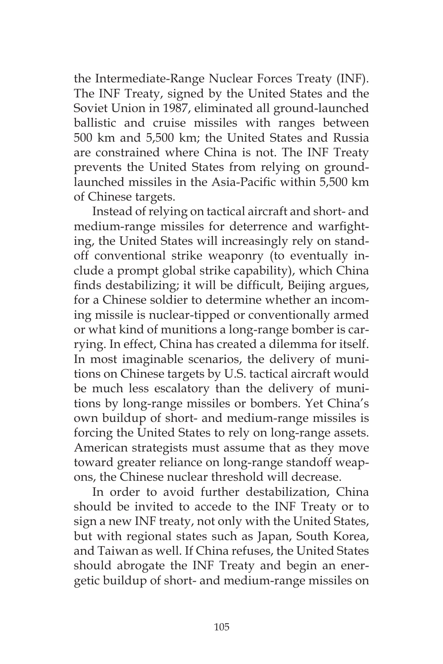the Intermediate-Range Nuclear Forces Treaty (INF). The INF Treaty, signed by the United States and the Soviet Union in 1987, eliminated all ground-launched ballistic and cruise missiles with ranges between 500 km and 5,500 km; the United States and Russia are constrained where China is not. The INF Treaty prevents the United States from relying on groundlaunched missiles in the Asia-Pacific within 5,500 km of Chinese targets.

Instead of relying on tactical aircraft and short- and medium-range missiles for deterrence and warfighting, the United States will increasingly rely on standoff conventional strike weaponry (to eventually include a prompt global strike capability), which China finds destabilizing; it will be difficult, Beijing argues, for a Chinese soldier to determine whether an incoming missile is nuclear-tipped or conventionally armed or what kind of munitions a long-range bomber is carrying. In effect, China has created a dilemma for itself. In most imaginable scenarios, the delivery of munitions on Chinese targets by U.S. tactical aircraft would be much less escalatory than the delivery of munitions by long-range missiles or bombers. Yet China's own buildup of short- and medium-range missiles is forcing the United States to rely on long-range assets. American strategists must assume that as they move toward greater reliance on long-range standoff weapons, the Chinese nuclear threshold will decrease.

In order to avoid further destabilization, China should be invited to accede to the INF Treaty or to sign a new INF treaty, not only with the United States, but with regional states such as Japan, South Korea, and Taiwan as well. If China refuses, the United States should abrogate the INF Treaty and begin an energetic buildup of short- and medium-range missiles on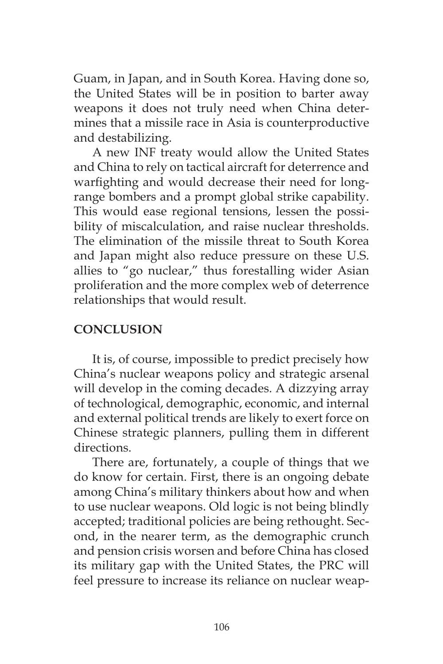Guam, in Japan, and in South Korea. Having done so, the United States will be in position to barter away weapons it does not truly need when China determines that a missile race in Asia is counterproductive and destabilizing.

A new INF treaty would allow the United States and China to rely on tactical aircraft for deterrence and warfighting and would decrease their need for longrange bombers and a prompt global strike capability. This would ease regional tensions, lessen the possibility of miscalculation, and raise nuclear thresholds. The elimination of the missile threat to South Korea and Japan might also reduce pressure on these U.S. allies to "go nuclear," thus forestalling wider Asian proliferation and the more complex web of deterrence relationships that would result.

# **CONCLUSION**

It is, of course, impossible to predict precisely how China's nuclear weapons policy and strategic arsenal will develop in the coming decades. A dizzying array of technological, demographic, economic, and internal and external political trends are likely to exert force on Chinese strategic planners, pulling them in different directions.

There are, fortunately, a couple of things that we do know for certain. First, there is an ongoing debate among China's military thinkers about how and when to use nuclear weapons. Old logic is not being blindly accepted; traditional policies are being rethought. Second, in the nearer term, as the demographic crunch and pension crisis worsen and before China has closed its military gap with the United States, the PRC will feel pressure to increase its reliance on nuclear weap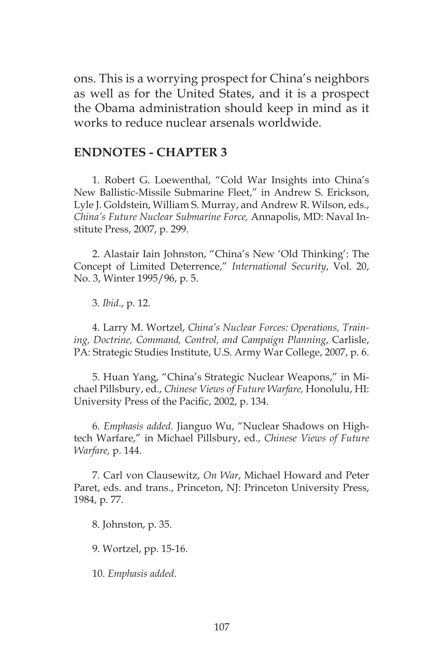ons. This is a worrying prospect for China's neighbors as well as for the United States, and it is a prospect the Obama administration should keep in mind as it works to reduce nuclear arsenals worldwide.

#### **ENDNOTES - CHAPTER 3**

1. Robert G. Loewenthal, "Cold War Insights into China's New Ballistic-Missile Submarine Fleet," in Andrew S. Erickson, Lyle J. Goldstein, William S. Murray, and Andrew R. Wilson, eds., *China's Future Nuclear Submarine Force,* Annapolis, MD: Naval Institute Press, 2007, p. 299.

2. Alastair Iain Johnston, "China's New 'Old Thinking': The Concept of Limited Deterrence," *International Security*, Vol. 20, No. 3, Winter 1995/96, p. 5.

3. *Ibid*., p. 12.

4. Larry M. Wortzel, *China's Nuclear Forces: Operations, Training, Doctrine, Command, Control, and Campaign Planning*, Carlisle, PA: Strategic Studies Institute, U.S. Army War College, 2007, p. 6.

5. Huan Yang, "China's Strategic Nuclear Weapons," in Michael Pillsbury, ed., *Chinese Views of Future Warfare,* Honolulu, HI: University Press of the Pacific, 2002, p. 134.

6. *Emphasis added.* Jianguo Wu, "Nuclear Shadows on Hightech Warfare," in Michael Pillsbury, ed., *Chinese Views of Future Warfare,* p. 144.

7. Carl von Clausewitz, *On War*, Michael Howard and Peter Paret, eds. and trans., Princeton, NJ: Princeton University Press, 1984, p. 77.

8. Johnston, p. 35.

9. Wortzel, pp. 15-16.

10. *Emphasis added.*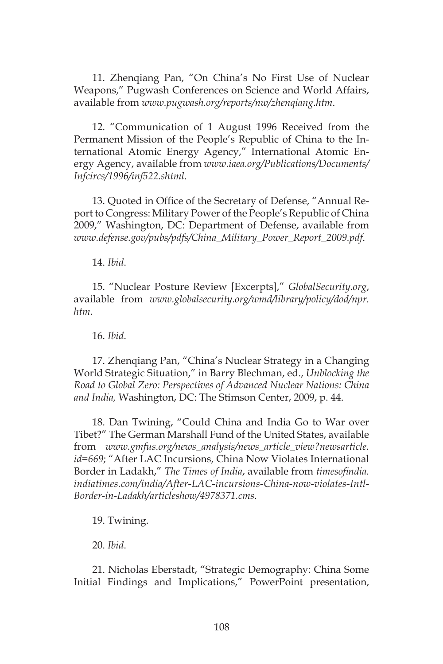11. Zhenqiang Pan, "On China's No First Use of Nuclear Weapons," Pugwash Conferences on Science and World Affairs, available from *www.pugwash.org/reports/nw/zhenqiang.htm*.

12. "Communication of 1 August 1996 Received from the Permanent Mission of the People's Republic of China to the International Atomic Energy Agency," International Atomic Energy Agency, available from *www.iaea.org/Publications/Documents/ Infcircs/1996/inf522.shtml*.

13. Quoted in Office of the Secretary of Defense, "Annual Report to Congress: Military Power of the People's Republic of China 2009," Washington, DC: Department of Defense, available from *www.defense.gov/pubs/pdfs/China\_Military\_Power\_Report\_2009.pdf*.

14. *Ibid*.

15. "Nuclear Posture Review [Excerpts]," *GlobalSecurity.org*, available from *www.globalsecurity.org/wmd/library/policy/dod/npr. htm*.

16. *Ibid*.

17. Zhenqiang Pan, "China's Nuclear Strategy in a Changing World Strategic Situation," in Barry Blechman, ed., *Unblocking the Road to Global Zero: Perspectives of Advanced Nuclear Nations: China and India,* Washington, DC: The Stimson Center, 2009, p. 44.

18. Dan Twining, "Could China and India Go to War over Tibet?" The German Marshall Fund of the United States, available from *www.gmfus.org/news\_analysis/news\_article\_view?newsarticle. id=669*; "After LAC Incursions, China Now Violates International Border in Ladakh," *The Times of India*, available from *timesofindia. indiatimes.com/india/After-LAC-incursions-China-now-violates-Intl-Border-in-Ladakh/articleshow/4978371.cms*.

19. Twining.

20. *Ibid*.

21. Nicholas Eberstadt, "Strategic Demography: China Some Initial Findings and Implications," PowerPoint presentation,